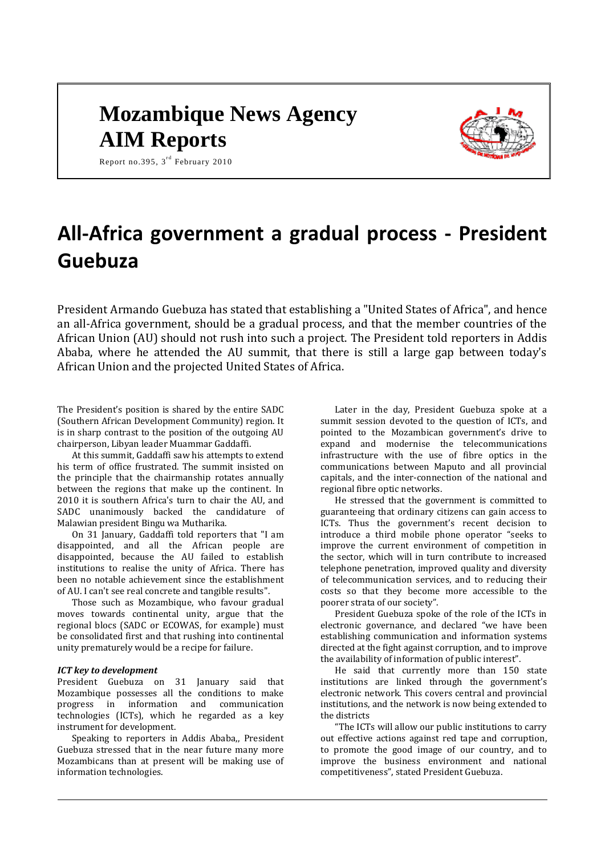# **Mozambique News Agency AIM Reports**



Report no.395,  $3^{\text{rd}}$  February 2010

# **All-Africa government a gradual process - President Guebuza**

President Armando Guebuza has stated that establishing a "United States of Africa", and hence an all-Africa government, should be a gradual process, and that the member countries of the African Union (AU) should not rush into such a project. The President told reporters in Addis Ababa, where he attended the AU summit, that there is still a large gap between today's African Union and the projected United States of Africa.

The President's position is shared by the entire SADC (Southern African Development Community) region. It is in sharp contrast to the position of the outgoing AU chairperson, Libyan leader Muammar Gaddaffi.

At this summit, Gaddaffi saw his attempts to extend his term of office frustrated. The summit insisted on the principle that the chairmanship rotates annually between the regions that make up the continent. In 2010 it is southern Africa's turn to chair the AU, and SADC unanimously backed the candidature of Malawian president Bingu wa Mutharika.

On 31 January, Gaddaffi told reporters that "I am disappointed, and all the African people are disappointed, because the AU failed to establish institutions to realise the unity of Africa. There has been no notable achievement since the establishment of AU. I can't see real concrete and tangible results".

Those such as Mozambique, who favour gradual moves towards continental unity, argue that the regional blocs (SADC or ECOWAS, for example) must be consolidated first and that rushing into continental unity prematurely would be a recipe for failure.

#### *ICT key to development*

President Guebuza on 31 January said that Mozambique possesses all the conditions to make progress in information and communication technologies (ICTs), which he regarded as a key instrument for development.

Speaking to reporters in Addis Ababa,, President Guebuza stressed that in the near future many more Mozambicans than at present will be making use of information technologies.

Later in the day, President Guebuza spoke at a summit session devoted to the question of ICTs, and pointed to the Mozambican government's drive to expand and modernise the telecommunications infrastructure with the use of fibre optics in the communications between Maputo and all provincial capitals, and the inter-connection of the national and regional fibre optic networks.

He stressed that the government is committed to guaranteeing that ordinary citizens can gain access to ICTs. Thus the government's recent decision to introduce a third mobile phone operator "seeks to improve the current environment of competition in the sector, which will in turn contribute to increased telephone penetration, improved quality and diversity of telecommunication services, and to reducing their costs so that they become more accessible to the poorer strata of our society".

President Guebuza spoke of the role of the ICTs in electronic governance, and declared "we have been establishing communication and information systems directed at the fight against corruption, and to improve the availability of information of public interest".

He said that currently more than 150 state institutions are linked through the government's electronic network. This covers central and provincial institutions, and the network is now being extended to the districts

"The ICTs will allow our public institutions to carry out effective actions against red tape and corruption, to promote the good image of our country, and to improve the business environment and national competitiveness", stated President Guebuza.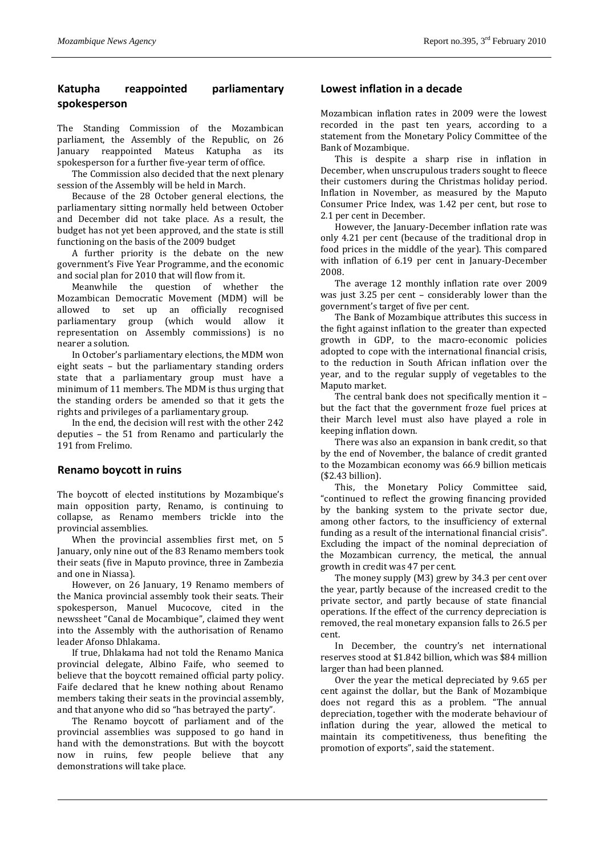# **Katupha reappointed parliamentary spokesperson**

The Standing Commission of the Mozambican parliament, the Assembly of the Republic, on 26 January reappointed Mateus Katupha as its spokesperson for a further five-year term of office.

The Commission also decided that the next plenary session of the Assembly will be held in March.

Because of the 28 October general elections, the parliamentary sitting normally held between October and December did not take place. As a result, the budget has not yet been approved, and the state is still functioning on the basis of the 2009 budget

A further priority is the debate on the new government's Five Year Programme, and the economic and social plan for 2010 that will flow from it.

Meanwhile the question of whether the Mozambican Democratic Movement (MDM) will be allowed to set up an officially recognised parliamentary group (which would allow it representation on Assembly commissions) is no nearer a solution.

In October's parliamentary elections, the MDM won eight seats – but the parliamentary standing orders state that a parliamentary group must have a minimum of 11 members. The MDM is thus urging that the standing orders be amended so that it gets the rights and privileges of a parliamentary group.

In the end, the decision will rest with the other 242 deputies – the 51 from Renamo and particularly the 191 from Frelimo.

# **Renamo boycott in ruins**

The boycott of elected institutions by Mozambique's main opposition party, Renamo, is continuing to collapse, as Renamo members trickle into the provincial assemblies.

When the provincial assemblies first met, on 5 January, only nine out of the 83 Renamo members took their seats (five in Maputo province, three in Zambezia and one in Niassa).

However, on 26 January, 19 Renamo members of the Manica provincial assembly took their seats. Their spokesperson, Manuel Mucocove, cited in the newssheet "Canal de Mocambique", claimed they went into the Assembly with the authorisation of Renamo leader Afonso Dhlakama.

If true, Dhlakama had not told the Renamo Manica provincial delegate, Albino Faife, who seemed to believe that the boycott remained official party policy. Faife declared that he knew nothing about Renamo members taking their seats in the provincial assembly, and that anyone who did so "has betrayed the party".

The Renamo boycott of parliament and of the provincial assemblies was supposed to go hand in hand with the demonstrations. But with the boycott now in ruins, few people believe that any demonstrations will take place.

# **Lowest inflation in a decade**

Mozambican inflation rates in 2009 were the lowest recorded in the past ten years, according to a statement from the Monetary Policy Committee of the Bank of Mozambique.

This is despite a sharp rise in inflation in December, when unscrupulous traders sought to fleece their customers during the Christmas holiday period. Inflation in November, as measured by the Maputo Consumer Price Index, was 1.42 per cent, but rose to 2.1 per cent in December.

However, the January-December inflation rate was only 4.21 per cent (because of the traditional drop in food prices in the middle of the year). This compared with inflation of 6.19 per cent in January-December 2008.

The average 12 monthly inflation rate over 2009 was just 3.25 per cent – considerably lower than the government's target of five per cent.

The Bank of Mozambique attributes this success in the fight against inflation to the greater than expected growth in GDP, to the macro-economic policies adopted to cope with the international financial crisis, to the reduction in South African inflation over the year, and to the regular supply of vegetables to the Maputo market.

The central bank does not specifically mention it – but the fact that the government froze fuel prices at their March level must also have played a role in keeping inflation down.

There was also an expansion in bank credit, so that by the end of November, the balance of credit granted to the Mozambican economy was 66.9 billion meticais (\$2.43 billion).

This, the Monetary Policy Committee said, "continued to reflect the growing financing provided by the banking system to the private sector due, among other factors, to the insufficiency of external funding as a result of the international financial crisis". Excluding the impact of the nominal depreciation of the Mozambican currency, the metical, the annual growth in credit was 47 per cent.

The money supply (M3) grew by 34.3 per cent over the year, partly because of the increased credit to the private sector, and partly because of state financial operations. If the effect of the currency depreciation is removed, the real monetary expansion falls to 26.5 per cent.

In December, the country's net international reserves stood at \$1.842 billion, which was \$84 million larger than had been planned.

Over the year the metical depreciated by 9.65 per cent against the dollar, but the Bank of Mozambique does not regard this as a problem. "The annual depreciation, together with the moderate behaviour of inflation during the year, allowed the metical to maintain its competitiveness, thus benefiting the promotion of exports", said the statement.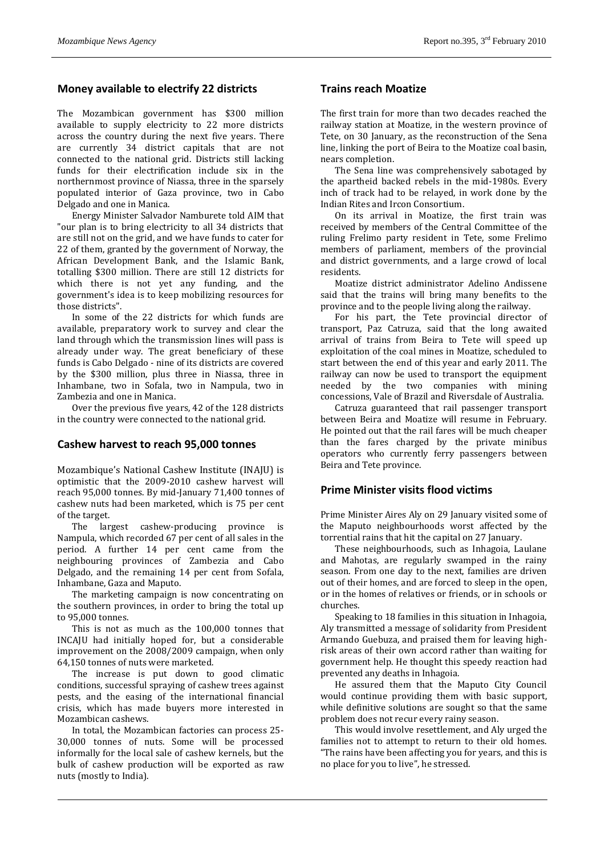## **Money available to electrify 22 districts**

The Mozambican government has \$300 million available to supply electricity to 22 more districts across the country during the next five years. There are currently 34 district capitals that are not connected to the national grid. Districts still lacking funds for their electrification include six in the northernmost province of Niassa, three in the sparsely populated interior of Gaza province, two in Cabo Delgado and one in Manica.

Energy Minister Salvador Namburete told AIM that "our plan is to bring electricity to all 34 districts that are still not on the grid, and we have funds to cater for 22 of them, granted by the government of Norway, the African Development Bank, and the Islamic Bank, totalling \$300 million. There are still 12 districts for which there is not yet any funding, and the government's idea is to keep mobilizing resources for those districts".

In some of the 22 districts for which funds are available, preparatory work to survey and clear the land through which the transmission lines will pass is already under way. The great beneficiary of these funds is Cabo Delgado - nine of its districts are covered by the \$300 million, plus three in Niassa, three in Inhambane, two in Sofala, two in Nampula, two in Zambezia and one in Manica.

Over the previous five years, 42 of the 128 districts in the country were connected to the national grid.

#### **Cashew harvest to reach 95,000 tonnes**

Mozambique's National Cashew Institute (INAJU) is optimistic that the 2009-2010 cashew harvest will reach 95,000 tonnes. By mid-January 71,400 tonnes of cashew nuts had been marketed, which is 75 per cent of the target.

The largest cashew-producing province is Nampula, which recorded 67 per cent of all sales in the period. A further 14 per cent came from the neighbouring provinces of Zambezia and Cabo Delgado, and the remaining 14 per cent from Sofala, Inhambane, Gaza and Maputo.

The marketing campaign is now concentrating on the southern provinces, in order to bring the total up to 95,000 tonnes.

This is not as much as the 100,000 tonnes that INCAJU had initially hoped for, but a considerable improvement on the 2008/2009 campaign, when only 64,150 tonnes of nuts were marketed.

The increase is put down to good climatic conditions, successful spraying of cashew trees against pests, and the easing of the international financial crisis, which has made buyers more interested in Mozambican cashews.

In total, the Mozambican factories can process 25- 30,000 tonnes of nuts. Some will be processed informally for the local sale of cashew kernels, but the bulk of cashew production will be exported as raw nuts (mostly to India).

#### **Trains reach Moatize**

The first train for more than two decades reached the railway station at Moatize, in the western province of Tete, on 30 January, as the reconstruction of the Sena line, linking the port of Beira to the Moatize coal basin, nears completion.

The Sena line was comprehensively sabotaged by the apartheid backed rebels in the mid-1980s. Every inch of track had to be relayed, in work done by the Indian Rites and Ircon Consortium.

On its arrival in Moatize, the first train was received by members of the Central Committee of the ruling Frelimo party resident in Tete, some Frelimo members of parliament, members of the provincial and district governments, and a large crowd of local residents.

Moatize district administrator Adelino Andissene said that the trains will bring many benefits to the province and to the people living along the railway.

For his part, the Tete provincial director of transport, Paz Catruza, said that the long awaited arrival of trains from Beira to Tete will speed up exploitation of the coal mines in Moatize, scheduled to start between the end of this year and early 2011. The railway can now be used to transport the equipment needed by the two companies with mining concessions, Vale of Brazil and Riversdale of Australia.

Catruza guaranteed that rail passenger transport between Beira and Moatize will resume in February. He pointed out that the rail fares will be much cheaper than the fares charged by the private minibus operators who currently ferry passengers between Beira and Tete province.

#### **Prime Minister visits flood victims**

Prime Minister Aires Aly on 29 January visited some of the Maputo neighbourhoods worst affected by the torrential rains that hit the capital on 27 January.

These neighbourhoods, such as Inhagoia, Laulane and Mahotas, are regularly swamped in the rainy season. From one day to the next, families are driven out of their homes, and are forced to sleep in the open, or in the homes of relatives or friends, or in schools or churches.

Speaking to 18 families in this situation in Inhagoia, Aly transmitted a message of solidarity from President Armando Guebuza, and praised them for leaving highrisk areas of their own accord rather than waiting for government help. He thought this speedy reaction had prevented any deaths in Inhagoia.

He assured them that the Maputo City Council would continue providing them with basic support, while definitive solutions are sought so that the same problem does not recur every rainy season.

This would involve resettlement, and Aly urged the families not to attempt to return to their old homes. "The rains have been affecting you for years, and this is no place for you to live", he stressed.